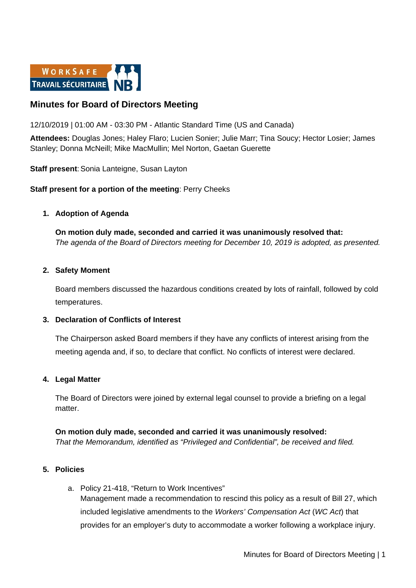

# **Minutes for Board of Directors Meeting**

12/10/2019 | 01:00 AM - 03:30 PM - Atlantic Standard Time (US and Canada)

**Attendees:** Douglas Jones; Haley Flaro; Lucien Sonier; Julie Marr; Tina Soucy; Hector Losier; James Stanley; Donna McNeill; Mike MacMullin; Mel Norton, Gaetan Guerette

**Staff present: Sonia Lanteigne, Susan Layton** 

**Staff present for a portion of the meeting**: Perry Cheeks

## **1. Adoption of Agenda**

**On motion duly made, seconded and carried it was unanimously resolved that:** *The agenda of the Board of Directors meeting for December 10, 2019 is adopted, as presented.*

### **2. Safety Moment**

Board members discussed the hazardous conditions created by lots of rainfall, followed by cold temperatures.

### **3. Declaration of Conflicts of Interest**

The Chairperson asked Board members if they have any conflicts of interest arising from the meeting agenda and, if so, to declare that conflict. No conflicts of interest were declared.

### **4. Legal Matter**

The Board of Directors were joined by external legal counsel to provide a briefing on a legal matter.

**On motion duly made, seconded and carried it was unanimously resolved:** *That the Memorandum, identified as "Privileged and Confidential", be received and filed.* 

### **5. Policies**

a. Policy 21-418, "Return to Work Incentives" Management made a recommendation to rescind this policy as a result of Bill 27, which included legislative amendments to the *Workers' Compensation Act* (*WC Act*) that provides for an employer's duty to accommodate a worker following a workplace injury.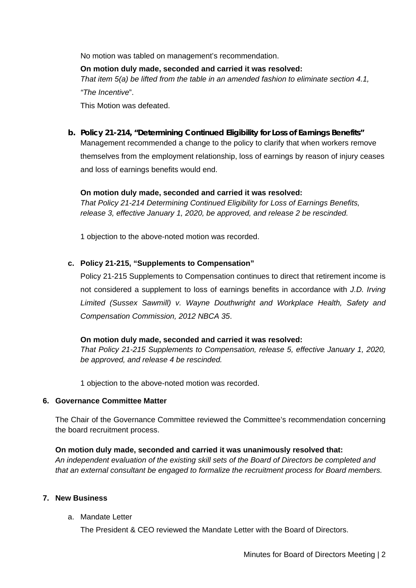No motion was tabled on management's recommendation.

### **On motion duly made, seconded and carried it was resolved:**

*That item 5(a) be lifted from the table in an amended fashion to eliminate section 4.1,* 

*"The Incentive*".

This Motion was defeated.

**b. Policy 21-214, "Determining Continued Eligibility for Loss of Earnings Benefits"** Management recommended a change to the policy to clarify that when workers remove themselves from the employment relationship, loss of earnings by reason of injury ceases and loss of earnings benefits would end.

### **On motion duly made, seconded and carried it was resolved:**

*That Policy 21-214 Determining Continued Eligibility for Loss of Earnings Benefits, release 3, effective January 1, 2020, be approved, and release 2 be rescinded.*

1 objection to the above-noted motion was recorded.

# **c. Policy 21-215, "Supplements to Compensation"**

Policy 21-215 Supplements to Compensation continues to direct that retirement income is not considered a supplement to loss of earnings benefits in accordance with *J.D. Irving Limited (Sussex Sawmill) v. Wayne Douthwright and Workplace Health, Safety and Compensation Commission, 2012 NBCA 35*.

### **On motion duly made, seconded and carried it was resolved:**

*That Policy 21-215 Supplements to Compensation, release 5, effective January 1, 2020, be approved, and release 4 be rescinded.* 

1 objection to the above-noted motion was recorded.

### **6. Governance Committee Matter**

The Chair of the Governance Committee reviewed the Committee's recommendation concerning the board recruitment process.

### **On motion duly made, seconded and carried it was unanimously resolved that:**

*An independent evaluation of the existing skill sets of the Board of Directors be completed and that an external consultant be engaged to formalize the recruitment process for Board members.*

# **7. New Business**

a. Mandate Letter

The President & CEO reviewed the Mandate Letter with the Board of Directors.